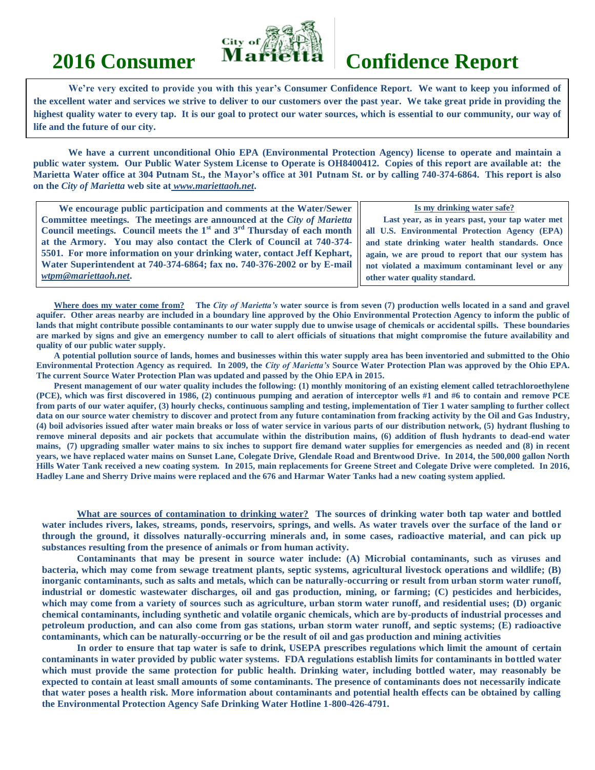

# **2016 Consumer Marietta Confidence Report**

**We're very excited to provide you with this year's Consumer Confidence Report. We want to keep you informed of the excellent water and services we strive to deliver to our customers over the past year. We take great pride in providing the highest quality water to every tap. It is our goal to protect our water sources, which is essential to our community, our way of life and the future of our city.**

**We have a current unconditional Ohio EPA (Environmental Protection Agency) license to operate and maintain a public water system. Our Public Water System License to Operate is OH8400412. Copies of this report are available at: the Marietta Water office at 304 Putnam St., the Mayor's office at 301 Putnam St. or by calling 740-374-6864. This report is also on the** *City of Marietta* **web site at** *www.mariettaoh.net***.**

| We encourage public participation and comments at the Water/Sewer          | Is my drinking water safe?                        |
|----------------------------------------------------------------------------|---------------------------------------------------|
| Committee meetings. The meetings are announced at the City of Marietta     | Last year, as in years past, your tap water met   |
| Council meetings. Council meets the $1st$ and $3rd$ Thursday of each month | all U.S. Environmental Protection Agency (EPA)    |
| at the Armory. You may also contact the Clerk of Council at 740-374-       | and state drinking water health standards. Once   |
| 5501. For more information on your drinking water, contact Jeff Kephart,   | again, we are proud to report that our system has |
| Water Superintendent at 740-374-6864; fax no. 740-376-2002 or by E-mail    | not violated a maximum contaminant level or any   |
| wtpm@mariettaoh.net.                                                       | other water quality standard.                     |

**Where does my water come from? The** *City of Marietta's* **water source is from seven (7) production wells located in a sand and gravel aquifer. Other areas nearby are included in a boundary line approved by the Ohio Environmental Protection Agency to inform the public of lands that might contribute possible contaminants to our water supply due to unwise usage of chemicals or accidental spills. These boundaries are marked by signs and give an emergency number to call to alert officials of situations that might compromise the future availability and quality of our public water supply.**

**A potential pollution source of lands, homes and businesses within this water supply area has been inventoried and submitted to the Ohio Environmental Protection Agency as required. In 2009, the** *City of Marietta's* **Source Water Protection Plan was approved by the Ohio EPA. The current Source Water Protection Plan was updated and passed by the Ohio EPA in 2015.**

**Present management of our water quality includes the following: (1) monthly monitoring of an existing element called tetrachloroethylene (PCE), which was first discovered in 1986, (2) continuous pumping and aeration of interceptor wells #1 and #6 to contain and remove PCE from parts of our water aquifer, (3) hourly checks, continuous sampling and testing, implementation of Tier 1 water sampling to further collect data on our source water chemistry to discover and protect from any future contamination from fracking activity by the Oil and Gas Industry, (4) boil advisories issued after water main breaks or loss of water service in various parts of our distribution network, (5) hydrant flushing to remove mineral deposits and air pockets that accumulate within the distribution mains, (6) addition of flush hydrants to dead-end water mains, (7) upgrading smaller water mains to six inches to support fire demand water supplies for emergencies as needed and (8) in recent years, we have replaced water mains on Sunset Lane, Colegate Drive, Glendale Road and Brentwood Drive. In 2014, the 500,000 gallon North Hills Water Tank received a new coating system. In 2015, main replacements for Greene Street and Colegate Drive were completed. In 2016, Hadley Lane and Sherry Drive mains were replaced and the 676 and Harmar Water Tanks had a new coating system applied.**

**What are sources of contamination to drinking water? The sources of drinking water both tap water and bottled water includes rivers, lakes, streams, ponds, reservoirs, springs, and wells. As water travels over the surface of the land or through the ground, it dissolves naturally-occurring minerals and, in some cases, radioactive material, and can pick up substances resulting from the presence of animals or from human activity.**

**Contaminants that may be present in source water include: (A) Microbial contaminants, such as viruses and bacteria, which may come from sewage treatment plants, septic systems, agricultural livestock operations and wildlife; (B) inorganic contaminants, such as salts and metals, which can be naturally-occurring or result from urban storm water runoff, industrial or domestic wastewater discharges, oil and gas production, mining, or farming; (C) pesticides and herbicides, which may come from a variety of sources such as agriculture, urban storm water runoff, and residential uses; (D) organic chemical contaminants, including synthetic and volatile organic chemicals, which are by-products of industrial processes and petroleum production, and can also come from gas stations, urban storm water runoff, and septic systems; (E) radioactive contaminants, which can be naturally-occurring or be the result of oil and gas production and mining activities**

**In order to ensure that tap water is safe to drink, USEPA prescribes regulations which limit the amount of certain contaminants in water provided by public water systems. FDA regulations establish limits for contaminants in bottled water which must provide the same protection for public health. Drinking water, including bottled water, may reasonably be expected to contain at least small amounts of some contaminants. The presence of contaminants does not necessarily indicate that water poses a health risk. More information about contaminants and potential health effects can be obtained by calling the Environmental Protection Agency Safe Drinking Water Hotline 1-800-426-4791.**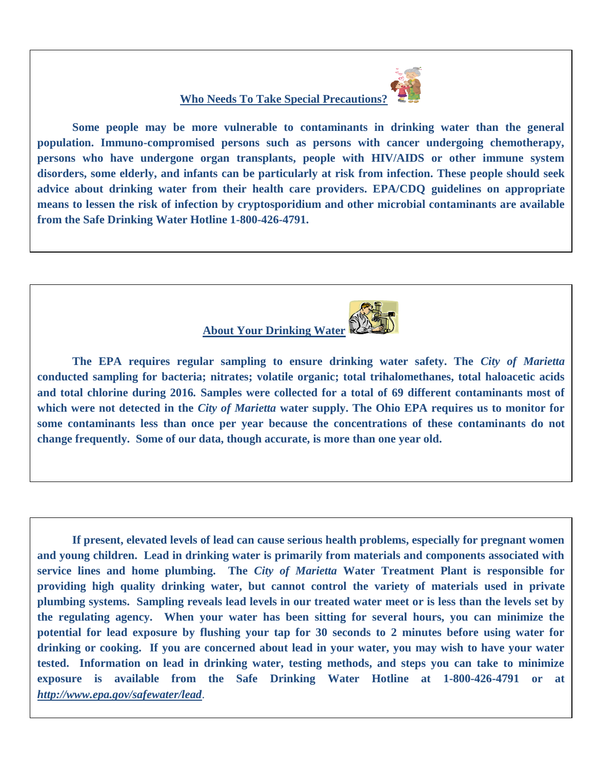

## **Who Needs To Take Special Precautions?**

**Some people may be more vulnerable to contaminants in drinking water than the general population. Immuno-compromised persons such as persons with cancer undergoing chemotherapy, persons who have undergone organ transplants, people with HIV/AIDS or other immune system disorders, some elderly, and infants can be particularly at risk from infection. These people should seek advice about drinking water from their health care providers. EPA/CDQ guidelines on appropriate means to lessen the risk of infection by cryptosporidium and other microbial contaminants are available from the Safe Drinking Water Hotline 1-800-426-4791.**



**The EPA requires regular sampling to ensure drinking water safety. The** *City of Marietta*  **conducted sampling for bacteria; nitrates; volatile organic; total trihalomethanes, total haloacetic acids and total chlorine during 2016***.* **Samples were collected for a total of 69 different contaminants most of which were not detected in the** *City of Marietta* **water supply. The Ohio EPA requires us to monitor for some contaminants less than once per year because the concentrations of these contaminants do not change frequently. Some of our data, though accurate, is more than one year old.**

**If present, elevated levels of lead can cause serious health problems, especially for pregnant women and young children. Lead in drinking water is primarily from materials and components associated with service lines and home plumbing. The** *City of Marietta* **Water Treatment Plant is responsible for providing high quality drinking water, but cannot control the variety of materials used in private plumbing systems. Sampling reveals lead levels in our treated water meet or is less than the levels set by the regulating agency. When your water has been sitting for several hours, you can minimize the potential for lead exposure by flushing your tap for 30 seconds to 2 minutes before using water for drinking or cooking. If you are concerned about lead in your water, you may wish to have your water tested. Information on lead in drinking water, testing methods, and steps you can take to minimize exposure is available from the Safe Drinking Water Hotline at 1-800-426-4791 or at**  *<http://www.epa.gov/safewater/lead>*.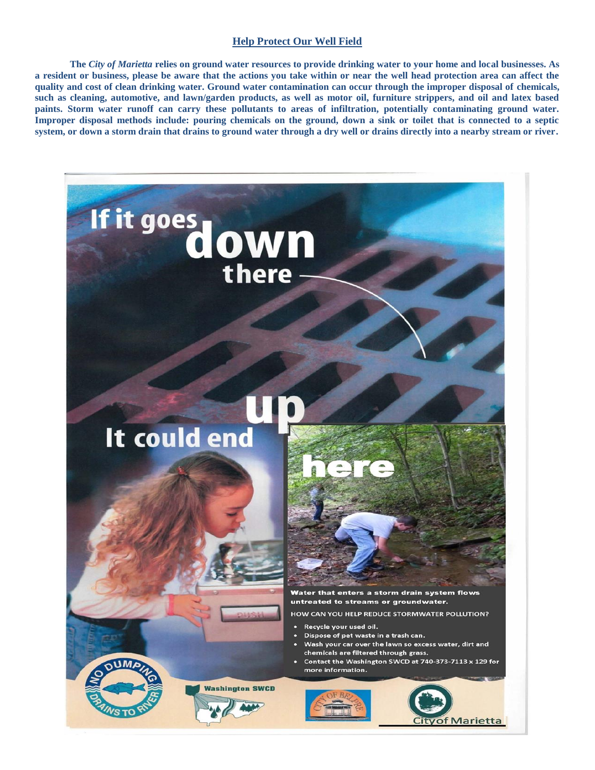#### **Help Protect Our Well Field**

**The** *City of Marietta* **relies on ground water resources to provide drinking water to your home and local businesses. As a resident or business, please be aware that the actions you take within or near the well head protection area can affect the quality and cost of clean drinking water. Ground water contamination can occur through the improper disposal of chemicals, such as cleaning, automotive, and lawn/garden products, as well as motor oil, furniture strippers, and oil and latex based paints. Storm water runoff can carry these pollutants to areas of infiltration, potentially contaminating ground water. Improper disposal methods include: pouring chemicals on the ground, down a sink or toilet that is connected to a septic system, or down a storm drain that drains to ground water through a dry well or drains directly into a nearby stream or river.** 

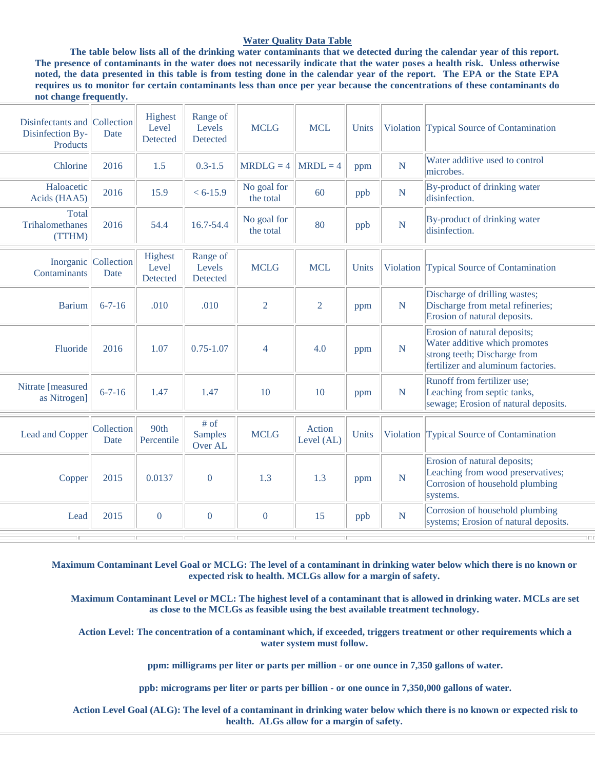#### **Water Quality Data Table**

**The table below lists all of the drinking water contaminants that we detected during the calendar year of this report. The presence of contaminants in the water does not necessarily indicate that the water poses a health risk. Unless otherwise noted, the data presented in this table is from testing done in the calendar year of the report. The EPA or the State EPA requires us to monitor for certain contaminants less than once per year because the concentrations of these contaminants do not change frequently.**

| Disinfectants and Collection<br>Disinfection By-<br>Products | Date                         | Highest<br>Level<br>Detected | Range of<br>Levels<br>Detected    | <b>MCLG</b>              | <b>MCL</b>           | Units |             | Violation Typical Source of Contamination                                                                                           |
|--------------------------------------------------------------|------------------------------|------------------------------|-----------------------------------|--------------------------|----------------------|-------|-------------|-------------------------------------------------------------------------------------------------------------------------------------|
| Chlorine                                                     | 2016                         | 1.5                          | $0.3 - 1.5$                       | $MRDLG = 4$              | $MRDL = 4$           | ppm   | N           | Water additive used to control<br>microbes.                                                                                         |
| Haloacetic<br>Acids (HAA5)                                   | 2016                         | 15.9                         | $< 6-15.9$                        | No goal for<br>the total | 60                   | ppb   | $\mathbf N$ | By-product of drinking water<br>disinfection.                                                                                       |
| Total<br>Trihalomethanes<br>(TTHM)                           | 2016                         | 54.4                         | 16.7-54.4                         | No goal for<br>the total | 80                   | ppb   | N           | By-product of drinking water<br>disinfection.                                                                                       |
| Contaminants                                                 | Inorganic Collection<br>Date | Highest<br>Level<br>Detected | Range of<br>Levels<br>Detected    | <b>MCLG</b>              | <b>MCL</b>           | Units |             | Violation Typical Source of Contamination                                                                                           |
| <b>Barium</b>                                                | $6 - 7 - 16$                 | .010                         | .010                              | $\overline{2}$           | $\overline{2}$       | ppm   | N           | Discharge of drilling wastes;<br>Discharge from metal refineries;<br>Erosion of natural deposits.                                   |
| Fluoride                                                     | 2016                         | 1.07                         | $0.75 - 1.07$                     | $\overline{4}$           | 4.0                  | ppm   | ${\bf N}$   | Erosion of natural deposits;<br>Water additive which promotes<br>strong teeth; Discharge from<br>fertilizer and aluminum factories. |
| Nitrate [measured<br>as Nitrogen]                            | $6 - 7 - 16$                 | 1.47                         | 1.47                              | 10                       | 10                   | ppm   | N           | Runoff from fertilizer use;<br>Leaching from septic tanks,<br>sewage; Erosion of natural deposits.                                  |
| Lead and Copper                                              | Collection<br>Date           | 90th<br>Percentile           | # of<br><b>Samples</b><br>Over AL | <b>MCLG</b>              | Action<br>Level (AL) | Units | Violation   | Typical Source of Contamination                                                                                                     |
| Copper                                                       | 2015                         | 0.0137                       | $\mathbf{0}$                      | 1.3                      | 1.3                  | ppm   | N           | Erosion of natural deposits;<br>Leaching from wood preservatives;<br>Corrosion of household plumbing<br>systems.                    |
| Lead                                                         | 2015                         | $\overline{0}$               | $\mathbf{0}$                      | $\overline{0}$           | 15                   | ppb   | N           | Corrosion of household plumbing<br>systems; Erosion of natural deposits.                                                            |
|                                                              |                              |                              |                                   |                          |                      |       |             | $\Box$                                                                                                                              |

**Maximum Contaminant Level Goal or MCLG: The level of a contaminant in drinking water below which there is no known or expected risk to health. MCLGs allow for a margin of safety.**

 **Maximum Contaminant Level or MCL: The highest level of a contaminant that is allowed in drinking water. MCLs are set as close to the MCLGs as feasible using the best available treatment technology.**

 **Action Level: The concentration of a contaminant which, if exceeded, triggers treatment or other requirements which a water system must follow.**

 **ppm: milligrams per liter or parts per million - or one ounce in 7,350 gallons of water.**

 **ppb: micrograms per liter or parts per billion - or one ounce in 7,350,000 gallons of water.**

 **Action Level Goal (ALG): The level of a contaminant in drinking water below which there is no known or expected risk to health. ALGs allow for a margin of safety.**